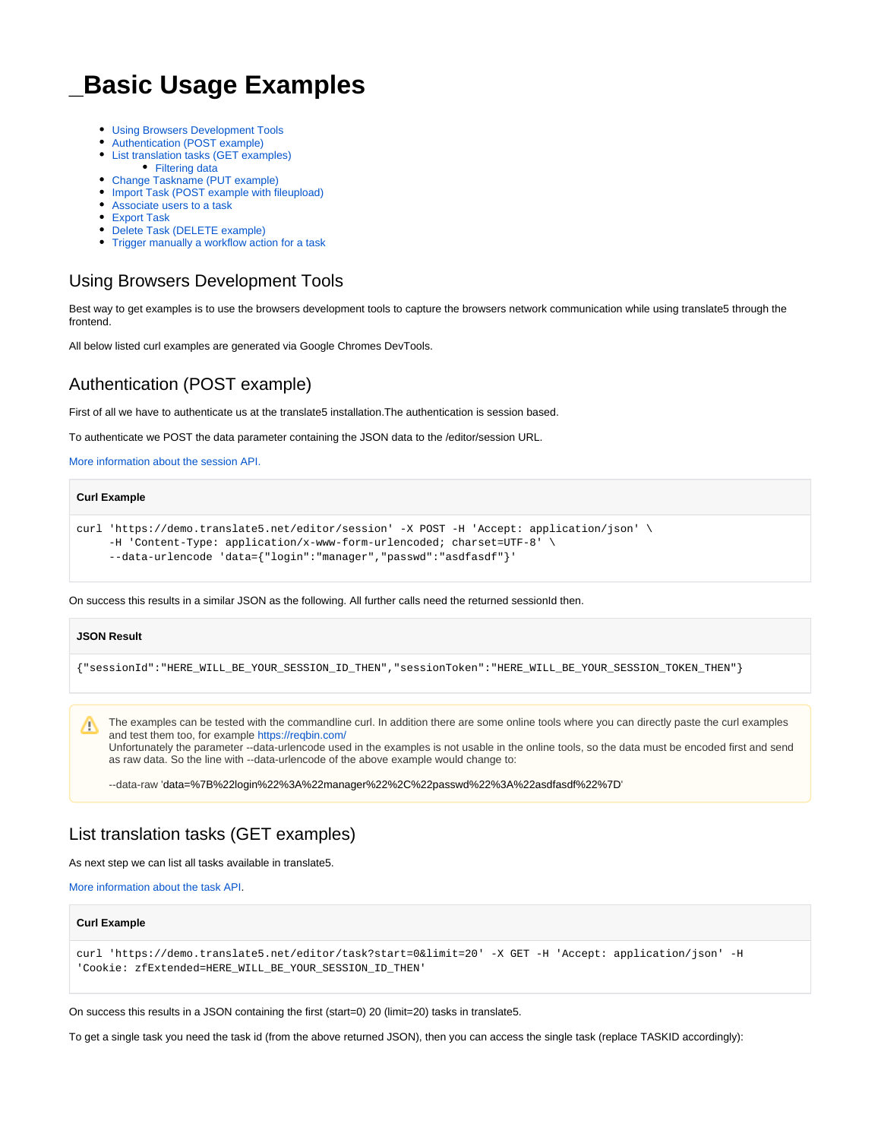# **\_Basic Usage Examples**

- [Using Browsers Development Tools](#page-0-0)
- [Authentication \(POST example\)](#page-0-1)
- [List translation tasks \(GET examples\)](#page-0-2) • [Filtering data](#page-1-0)
- [Change Taskname \(PUT example\)](#page-1-1)
- [Import Task \(POST example with fileupload\)](#page-1-2)
- [Associate users to a task](#page-1-3)
- [Export Task](#page-2-0)
- [Delete Task \(DELETE example\)](#page-2-1)
- [Trigger manually a workflow action for a task](#page-2-2)

# <span id="page-0-0"></span>Using Browsers Development Tools

Best way to get examples is to use the browsers development tools to capture the browsers network communication while using translate5 through the frontend.

All below listed curl examples are generated via Google Chromes DevTools.

# <span id="page-0-1"></span>Authentication (POST example)

First of all we have to authenticate us at the translate5 installation.The authentication is session based.

To authenticate we POST the data parameter containing the JSON data to the /editor/session URL.

[More information about the session API.](https://confluence.translate5.net/display/TAD/Session)

| curl 'https://demo.translate5.net/editor/session' -X POST -H 'Accept: application/json' |
|-----------------------------------------------------------------------------------------|
| $-H$ 'Content-Type: application/x-www-form-urlencoded; charset=UTF-8' \                 |
| --data-urlencode 'data={"login":"manager","passwd":"asdfasdf"}'                         |

On success this results in a similar JSON as the following. All further calls need the returned sessionId then.

#### **JSON Result**

**Curl Example**

{"sessionId":"HERE\_WILL\_BE\_YOUR\_SESSION\_ID\_THEN","sessionToken":"HERE\_WILL\_BE\_YOUR\_SESSION\_TOKEN\_THEN"}

The examples can be tested with the commandline curl. In addition there are some online tools where you can directly paste the curl examples Δ and test them too, for example<https://reqbin.com/>

Unfortunately the parameter --data-urlencode used in the examples is not usable in the online tools, so the data must be encoded first and send as raw data. So the line with --data-urlencode of the above example would change to:

--data-raw 'data=%7B%22login%22%3A%22manager%22%2C%22passwd%22%3A%22asdfasdf%22%7D'

# <span id="page-0-2"></span>List translation tasks (GET examples)

As next step we can list all tasks available in translate5.

[More information about the task API.](https://confluence.translate5.net/display/TAD/Task)

**Curl Example**

```
curl 'https://demo.translate5.net/editor/task?start=0&limit=20' -X GET -H 'Accept: application/json' -H 
'Cookie: zfExtended=HERE_WILL_BE_YOUR_SESSION_ID_THEN'
```
On success this results in a JSON containing the first (start=0) 20 (limit=20) tasks in translate5.

To get a single task you need the task id (from the above returned JSON), then you can access the single task (replace TASKID accordingly):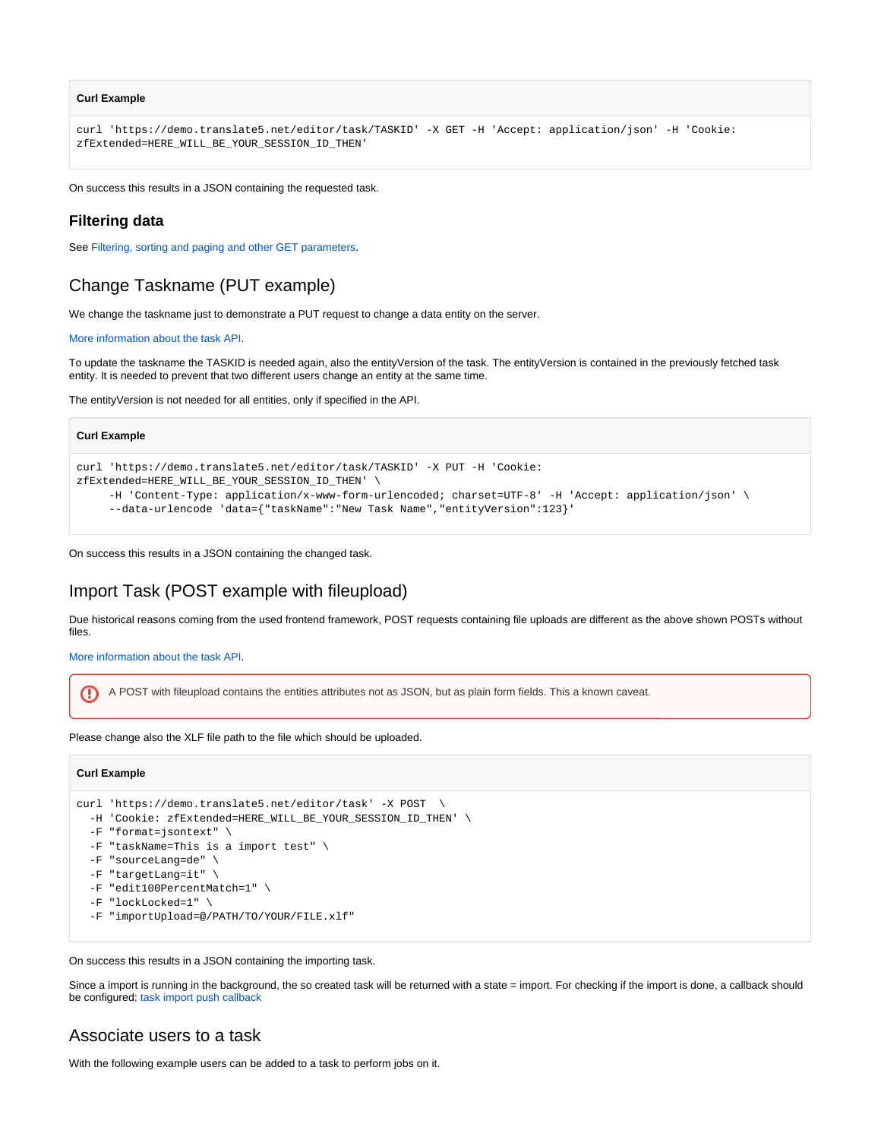#### **Curl Example**

```
curl 'https://demo.translate5.net/editor/task/TASKID' -X GET -H 'Accept: application/json' -H 'Cookie: 
zfExtended=HERE_WILL_BE_YOUR_SESSION_ID_THEN'
```
On success this results in a JSON containing the requested task.

### <span id="page-1-0"></span>**Filtering data**

See [Filtering, sorting and paging and other GET parameters](https://confluence.translate5.net/display/TAD/_+Filtering%2C+sorting+and+paging+and+other+GET+parameters).

# <span id="page-1-1"></span>Change Taskname (PUT example)

We change the taskname just to demonstrate a PUT request to change a data entity on the server.

[More information about the task API.](https://confluence.translate5.net/display/TAD/Task)

To update the taskname the TASKID is needed again, also the entityVersion of the task. The entityVersion is contained in the previously fetched task entity. It is needed to prevent that two different users change an entity at the same time.

The entityVersion is not needed for all entities, only if specified in the API.

#### **Curl Example**

```
curl 'https://demo.translate5.net/editor/task/TASKID' -X PUT -H 'Cookie: 
zfExtended=HERE_WILL_BE_YOUR_SESSION_ID_THEN' \ 
     -H 'Content-Type: application/x-www-form-urlencoded; charset=UTF-8' -H 'Accept: application/json' \
      --data-urlencode 'data={"taskName":"New Task Name","entityVersion":123}'
```
On success this results in a JSON containing the changed task.

## <span id="page-1-2"></span>Import Task (POST example with fileupload)

Due historical reasons coming from the used frontend framework, POST requests containing file uploads are different as the above shown POSTs without files.

[More information about the task API.](https://confluence.translate5.net/display/TAD/Task)

A POST with fileupload contains the entities attributes not as JSON, but as plain form fields. This a known caveat.⊕

Please change also the XLF file path to the file which should be uploaded.

#### **Curl Example**

```
curl 'https://demo.translate5.net/editor/task' -X POST \
  -H 'Cookie: zfExtended=HERE_WILL_BE_YOUR_SESSION_ID_THEN' \
  -F "format=jsontext" \
  -F "taskName=This is a import test" \
  -F "sourceLang=de" \
  -F "targetLang=it" \
  -F "edit100PercentMatch=1" \
  -F "lockLocked=1" \
  -F "importUpload=@/PATH/TO/YOUR/FILE.xlf"
```
On success this results in a JSON containing the importing task.

Since a import is running in the background, the so created task will be returned with a state = import. For checking if the import is done, a callback should be configured: [task import push callback](https://confluence.translate5.net/display/TAD/Task#Task-Importpushcallback)

## <span id="page-1-3"></span>Associate users to a task

With the following example users can be added to a task to perform jobs on it.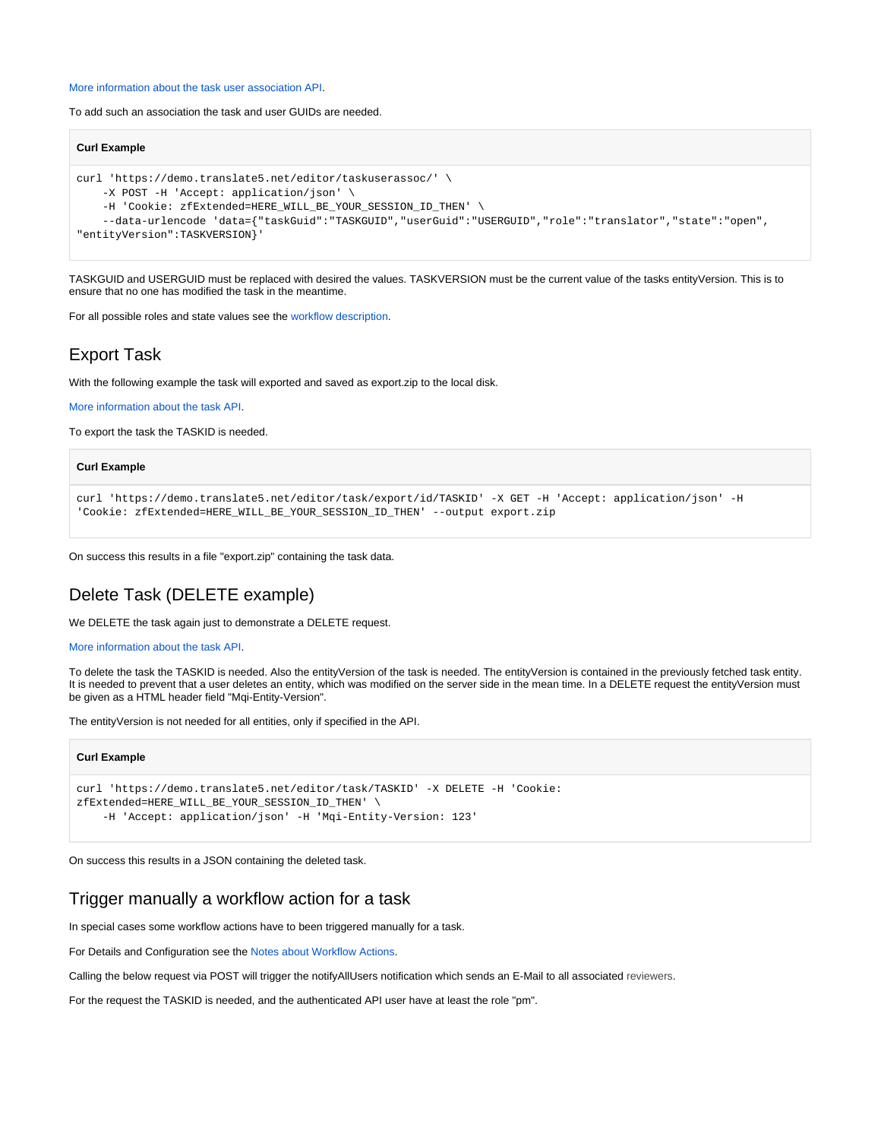#### [More information about the task user association API.](https://confluence.translate5.net/display/TAD/Task+User+Associations)

To add such an association the task and user GUIDs are needed.

### **Curl Example** curl 'https://demo.translate5.net/editor/taskuserassoc/' \ -X POST -H 'Accept: application/json' \ -H 'Cookie: zfExtended=HERE\_WILL\_BE\_YOUR\_SESSION\_ID\_THEN' \ --data-urlencode 'data={"taskGuid":"TASKGUID","userGuid":"USERGUID","role":"translator","state":"open", "entityVersion":TASKVERSION}'

TASKGUID and USERGUID must be replaced with desired the values. TASKVERSION must be the current value of the tasks entityVersion. This is to ensure that no one has modified the task in the meantime.

For all possible roles and state values see the workflow description.

# <span id="page-2-0"></span>Export Task

With the following example the task will exported and saved as export.zip to the local disk.

[More information about the task API.](https://confluence.translate5.net/display/TAD/Task)

To export the task the TASKID is needed.

# **Curl Example** curl 'https://demo.translate5.net/editor/task/export/id/TASKID' -X GET -H 'Accept: application/json' -H 'Cookie: zfExtended=HERE\_WILL\_BE\_YOUR\_SESSION\_ID\_THEN' --output export.zip

On success this results in a file "export.zip" containing the task data.

# <span id="page-2-1"></span>Delete Task (DELETE example)

We DELETE the task again just to demonstrate a DELETE request.

```
More information about the task API.
```
To delete the task the TASKID is needed. Also the entityVersion of the task is needed. The entityVersion is contained in the previously fetched task entity. It is needed to prevent that a user deletes an entity, which was modified on the server side in the mean time. In a DELETE request the entityVersion must be given as a HTML header field "Mqi-Entity-Version".

The entityVersion is not needed for all entities, only if specified in the API.

#### **Curl Example**

```
curl 'https://demo.translate5.net/editor/task/TASKID' -X DELETE -H 'Cookie: 
zfExtended=HERE_WILL_BE_YOUR_SESSION_ID_THEN' \ 
     -H 'Accept: application/json' -H 'Mqi-Entity-Version: 123'
```
On success this results in a JSON containing the deleted task.

# <span id="page-2-2"></span>Trigger manually a workflow action for a task

In special cases some workflow actions have to been triggered manually for a task.

For Details and Configuration see the Notes about Workflow Actions.

Calling the below request via POST will trigger the notifyAllUsers notification which sends an E-Mail to all associated reviewers.

For the request the TASKID is needed, and the authenticated API user have at least the role "pm".